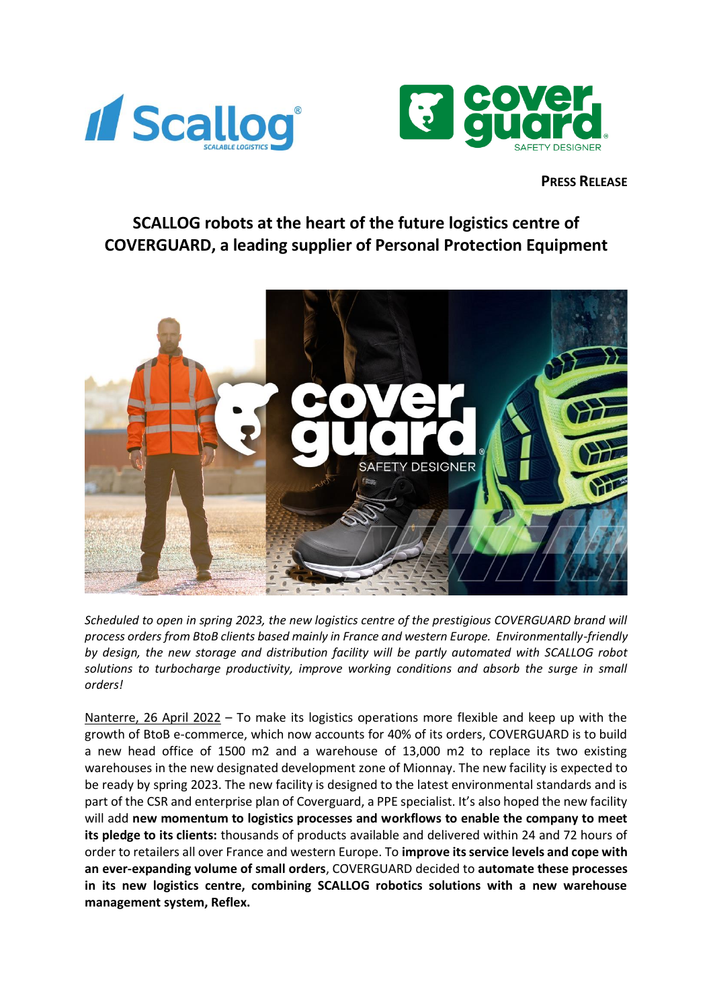



## **PRESS RELEASE**

# **SCALLOG robots at the heart of the future logistics centre of COVERGUARD, a leading supplier of Personal Protection Equipment**



*Scheduled to open in spring 2023, the new logistics centre of the prestigious COVERGUARD brand will process orders from BtoB clients based mainly in France and western Europe. Environmentally-friendly by design, the new storage and distribution facility will be partly automated with SCALLOG robot solutions to turbocharge productivity, improve working conditions and absorb the surge in small orders!*

Nanterre, 26 April 2022 – To make its logistics operations more flexible and keep up with the growth of BtoB e-commerce, which now accounts for 40% of its orders, COVERGUARD is to build a new head office of 1500 m2 and a warehouse of 13,000 m2 to replace its two existing warehouses in the new designated development zone of Mionnay. The new facility is expected to be ready by spring 2023. The new facility is designed to the latest environmental standards and is part of the CSR and enterprise plan of Coverguard, a PPE specialist. It's also hoped the new facility will add **new momentum to logistics processes and workflows to enable the company to meet its pledge to its clients:** thousands of products available and delivered within 24 and 72 hours of order to retailers all over France and western Europe. To **improve its service levels and cope with an ever-expanding volume of small orders**, COVERGUARD decided to **automate these processes in its new logistics centre, combining SCALLOG robotics solutions with a new warehouse management system, Reflex.**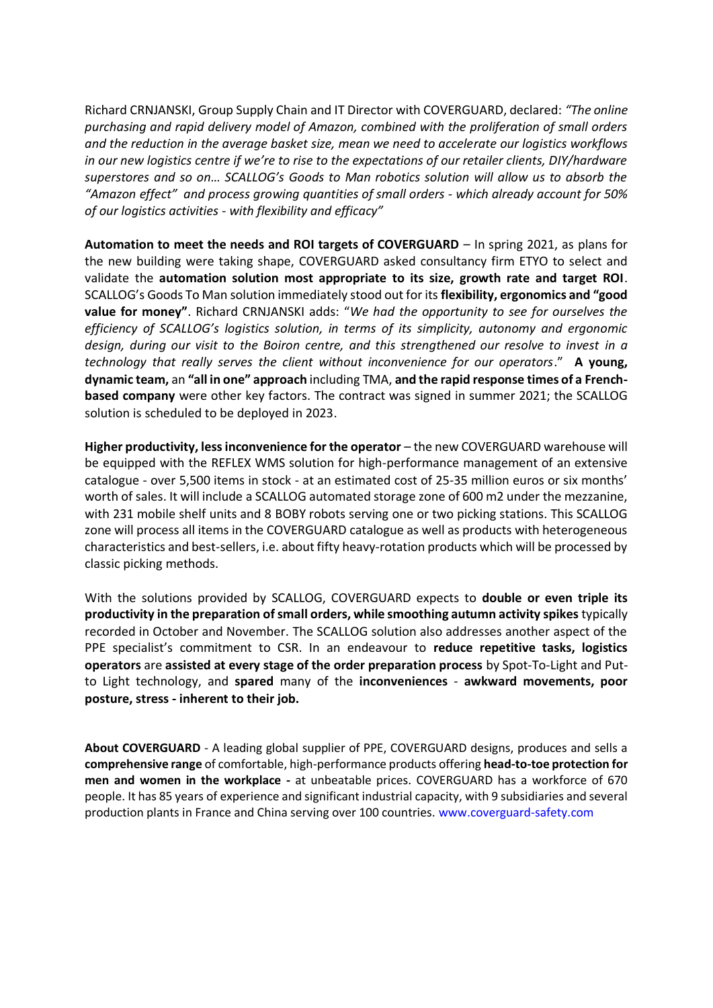Richard CRNJANSKI, Group Supply Chain and IT Director with COVERGUARD, declared: *"The online purchasing and rapid delivery model of Amazon, combined with the proliferation of small orders and the reduction in the average basket size, mean we need to accelerate our logistics workflows in our new logistics centre if we're to rise to the expectations of our retailer clients, DIY/hardware superstores and so on… SCALLOG's Goods to Man robotics solution will allow us to absorb the "Amazon effect" and process growing quantities of small orders - which already account for 50% of our logistics activities - with flexibility and efficacy"*

**Automation to meet the needs and ROI targets of COVERGUARD** – In spring 2021, as plans for the new building were taking shape, COVERGUARD asked consultancy firm ETYO to select and validate the **automation solution most appropriate to its size, growth rate and target ROI**. SCALLOG's Goods To Man solution immediately stood out for its **flexibility, ergonomics and "good value for money"**. Richard CRNJANSKI adds: "*We had the opportunity to see for ourselves the efficiency of SCALLOG's logistics solution, in terms of its simplicity, autonomy and ergonomic design, during our visit to the Boiron centre, and this strengthened our resolve to invest in a technology that really serves the client without inconvenience for our operators*." **A young, dynamic team,** an **"all in one" approach** including TMA, **and the rapid response times of a Frenchbased company** were other key factors. The contract was signed in summer 2021; the SCALLOG solution is scheduled to be deployed in 2023.

**Higher productivity, less inconvenience for the operator** – the new COVERGUARD warehouse will be equipped with the REFLEX WMS solution for high-performance management of an extensive catalogue - over 5,500 items in stock - at an estimated cost of 25-35 million euros or six months' worth of sales. It will include a SCALLOG automated storage zone of 600 m2 under the mezzanine, with 231 mobile shelf units and 8 BOBY robots serving one or two picking stations. This SCALLOG zone will process all items in the COVERGUARD catalogue as well as products with heterogeneous characteristics and best-sellers, i.e. about fifty heavy-rotation products which will be processed by classic picking methods.

With the solutions provided by SCALLOG, COVERGUARD expects to **double or even triple its productivity in the preparation of small orders, while smoothing autumn activity spikes** typically recorded in October and November. The SCALLOG solution also addresses another aspect of the PPE specialist's commitment to CSR. In an endeavour to **reduce repetitive tasks, logistics operators** are **assisted at every stage of the order preparation process** by Spot-To-Light and Putto Light technology, and **spared** many of the **inconveniences** - **awkward movements, poor posture, stress - inherent to their job.**

**About COVERGUARD** - A leading global supplier of PPE, COVERGUARD designs, produces and sells a **comprehensive range** of comfortable, high-performance products offering **head-to-toe protection for men and women in the workplace -** at unbeatable prices. COVERGUARD has a workforce of 670 people. It has 85 years of experience and significant industrial capacity, with 9 subsidiaries and several production plants in France and China serving over 100 countries. [www.coverguard-safety.com](http://www.coverguard-safety.com/)